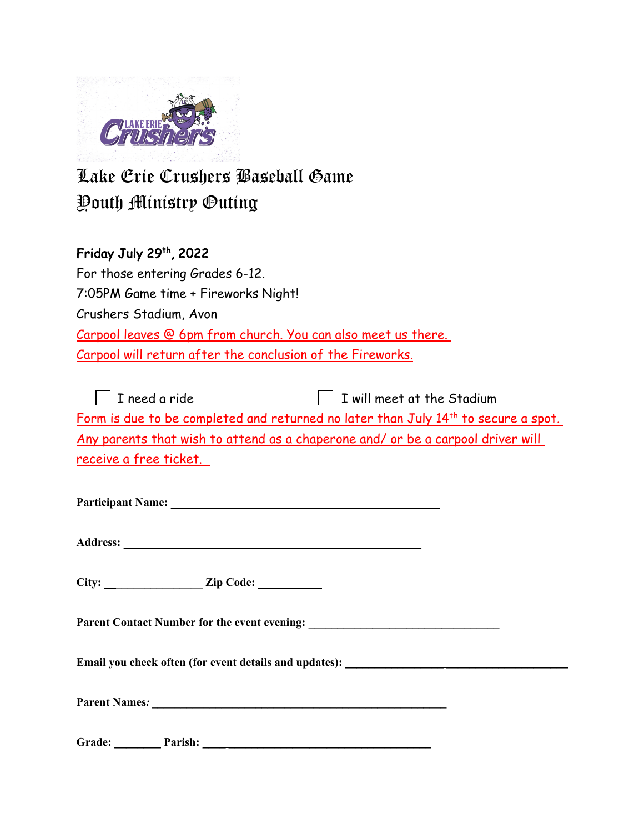

## Lake Erie Crushers Baseball Game Youth Ministry Outing

## Friday July 29th, 2022

| For those entering Grades 6-12.                               |
|---------------------------------------------------------------|
| 7:05PM Game time + Fireworks Night!                           |
| Crushers Stadium, Avon                                        |
| Carpool leaves @ 6pm from church. You can also meet us there. |
| Carpool will return after the conclusion of the Fireworks.    |

| T need a ride                                                                   | $\Box$ I will meet at the Stadium                                                              |
|---------------------------------------------------------------------------------|------------------------------------------------------------------------------------------------|
|                                                                                 | Form is due to be completed and returned no later than July 14 <sup>th</sup> to secure a spot. |
| Any parents that wish to attend as a chaperone and/ or be a carpool driver will |                                                                                                |
| receive a free ticket.                                                          |                                                                                                |

**Participant Name: \_\_ \_\_\_\_\_\_\_\_\_\_\_\_\_\_\_\_\_\_\_\_\_\_\_\_\_\_\_\_\_\_\_\_\_\_\_\_\_\_\_\_\_\_\_\_**

**Address: \_ \_\_\_\_\_\_\_\_\_\_\_\_\_\_\_\_\_\_\_\_\_\_\_\_\_\_\_\_\_\_\_\_\_\_\_\_\_\_\_\_\_\_\_\_\_\_\_\_\_\_**

**City: \_\_\_\_\_\_\_\_\_\_\_\_\_\_\_\_\_ Zip Code: \_\_\_\_\_\_\_\_\_\_\_**

**Parent Contact Number for the event evening: \_\_\_\_\_\_\_\_\_\_\_\_\_\_\_\_\_\_\_\_\_\_\_\_\_\_\_\_\_\_\_\_\_**

**Email** you check often (for event details and updates): \_\_\_\_\_\_\_\_\_\_\_\_\_\_\_\_\_\_\_\_\_\_\_\_

**Parent Names***: \_\_\_\_\_\_\_\_\_\_\_\_\_\_\_\_\_\_\_\_\_\_\_\_\_\_\_\_\_\_\_\_\_\_\_\_\_\_\_\_\_\_\_\_\_\_\_\_\_\_\_* 

Grade: <u>Parish: 2000 Parish: 2000</u>